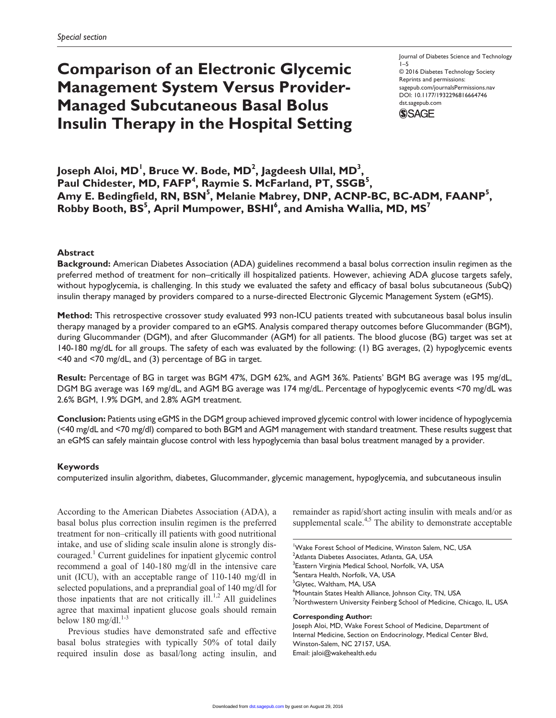# **Comparison of an Electronic Glycemic Management System Versus Provider-Managed Subcutaneous Basal Bolus Insulin Therapy in the Hospital Setting**

Journal of Diabetes Science and Technology 1–5 © 2016 Diabetes Technology Society Reprints and permissions: sagepub.com/journalsPermissions.nav DOI: 10.1177/1932296816664746 dst.sagepub.com



## Joseph Aloi, MD<sup>I</sup>, Bruce W. Bode, MD<sup>2</sup>, Jagdeesh Ullal, MD<sup>3</sup>, Paul Chidester, MD, FAFP<sup>4</sup>, Raymie S. McFarland, PT, SSGB<sup>5</sup>, Amy E. Bedingfield, RN, BSN<sup>5</sup>, Melanie Mabrey, DNP, ACNP-BC, BC-ADM, FAANP<sup>5</sup>,  ${\sf Robby}$  Booth,  ${\sf BS}^5$ , April Mumpower,  ${\sf BSHI}^6$ , and Amisha Wallia, MD, MS<sup>7</sup>

## **Abstract**

**Background:** American Diabetes Association (ADA) guidelines recommend a basal bolus correction insulin regimen as the preferred method of treatment for non–critically ill hospitalized patients. However, achieving ADA glucose targets safely, without hypoglycemia, is challenging. In this study we evaluated the safety and efficacy of basal bolus subcutaneous (SubQ) insulin therapy managed by providers compared to a nurse-directed Electronic Glycemic Management System (eGMS).

**Method:** This retrospective crossover study evaluated 993 non-ICU patients treated with subcutaneous basal bolus insulin therapy managed by a provider compared to an eGMS. Analysis compared therapy outcomes before Glucommander (BGM), during Glucommander (DGM), and after Glucommander (AGM) for all patients. The blood glucose (BG) target was set at 140-180 mg/dL for all groups. The safety of each was evaluated by the following: (1) BG averages, (2) hypoglycemic events <40 and <70 mg/dL, and (3) percentage of BG in target.

**Result:** Percentage of BG in target was BGM 47%, DGM 62%, and AGM 36%. Patients' BGM BG average was 195 mg/dL, DGM BG average was 169 mg/dL, and AGM BG average was 174 mg/dL. Percentage of hypoglycemic events <70 mg/dL was 2.6% BGM, 1.9% DGM, and 2.8% AGM treatment.

**Conclusion:** Patients using eGMS in the DGM group achieved improved glycemic control with lower incidence of hypoglycemia (<40 mg/dL and <70 mg/dl) compared to both BGM and AGM management with standard treatment. These results suggest that an eGMS can safely maintain glucose control with less hypoglycemia than basal bolus treatment managed by a provider.

## **Keywords**

computerized insulin algorithm, diabetes, Glucommander, glycemic management, hypoglycemia, and subcutaneous insulin

According to the American Diabetes Association (ADA), a basal bolus plus correction insulin regimen is the preferred treatment for non–critically ill patients with good nutritional intake, and use of sliding scale insulin alone is strongly discouraged.<sup>1</sup> Current guidelines for inpatient glycemic control recommend a goal of 140-180 mg/dl in the intensive care unit (ICU), with an acceptable range of 110-140 mg/dl in selected populations, and a preprandial goal of 140 mg/dl for those inpatients that are not critically ill.<sup>1,2</sup> All guidelines agree that maximal inpatient glucose goals should remain below 180 mg/dl. $1-3$ 

Previous studies have demonstrated safe and effective basal bolus strategies with typically 50% of total daily required insulin dose as basal/long acting insulin, and remainder as rapid/short acting insulin with meals and/or as supplemental scale. $4,5$  The ability to demonstrate acceptable

<sup>1</sup>Wake Forest School of Medicine, Winston Salem, NC, USA 2 Atlanta Diabetes Associates, Atlanta, GA, USA <sup>3</sup>Eastern Virginia Medical School, Norfolk, VA, USA 4 Sentara Health, Norfolk, VA, USA <sup>5</sup>Glytec, Waltham, MA, USA 6 Mountain States Health Alliance, Johnson City, TN, USA  $^7$ Northwestern University Feinberg School of Medicine, Chicago, IL, USA

#### **Corresponding Author:**

Joseph Aloi, MD, Wake Forest School of Medicine, Department of Internal Medicine, Section on Endocrinology, Medical Center Blvd, Winston-Salem, NC 27157, USA. Email: [jaloi@wakehealth.edu](mailto:jaloi@wakehealth.edu)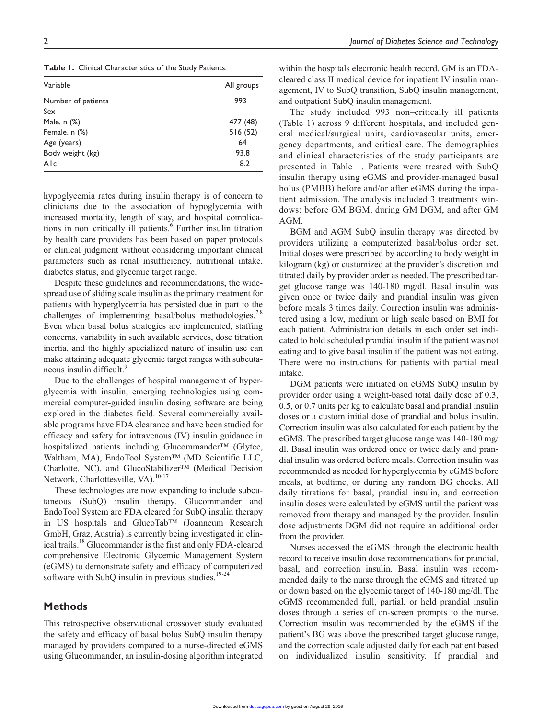**Table 1.** Clinical Characteristics of the Study Patients.

| Variable           | All groups |
|--------------------|------------|
| Number of patients | 993        |
| Sex                |            |
| Male, n (%)        | 477 (48)   |
| Female, n (%)      | 516(52)    |
| Age (years)        | 64         |
| Body weight (kg)   | 93.8       |
| Alc                | 8.2        |

hypoglycemia rates during insulin therapy is of concern to clinicians due to the association of hypoglycemia with increased mortality, length of stay, and hospital complications in non-critically ill patients.<sup>6</sup> Further insulin titration by health care providers has been based on paper protocols or clinical judgment without considering important clinical parameters such as renal insufficiency, nutritional intake, diabetes status, and glycemic target range.

Despite these guidelines and recommendations, the widespread use of sliding scale insulin as the primary treatment for patients with hyperglycemia has persisted due in part to the challenges of implementing basal/bolus methodologies.<sup>7,8</sup> Even when basal bolus strategies are implemented, staffing concerns, variability in such available services, dose titration inertia, and the highly specialized nature of insulin use can make attaining adequate glycemic target ranges with subcutaneous insulin difficult.<sup>9</sup>

Due to the challenges of hospital management of hyperglycemia with insulin, emerging technologies using commercial computer-guided insulin dosing software are being explored in the diabetes field. Several commercially available programs have FDA clearance and have been studied for efficacy and safety for intravenous (IV) insulin guidance in hospitalized patients including Glucommander™ (Glytec, Waltham, MA), EndoTool System™ (MD Scientific LLC, Charlotte, NC), and GlucoStabilizer™ (Medical Decision Network, Charlottesville, VA).<sup>10-17</sup>

These technologies are now expanding to include subcutaneous (SubQ) insulin therapy. Glucommander and EndoTool System are FDA cleared for SubQ insulin therapy in US hospitals and GlucoTab™ (Joanneum Research GmbH, Graz, Austria) is currently being investigated in clinical trails.18 Glucommander is the first and only FDA-cleared comprehensive Electronic Glycemic Management System (eGMS) to demonstrate safety and efficacy of computerized software with SubQ insulin in previous studies. $19-24$ 

## **Methods**

This retrospective observational crossover study evaluated the safety and efficacy of basal bolus SubQ insulin therapy managed by providers compared to a nurse-directed eGMS using Glucommander, an insulin-dosing algorithm integrated within the hospitals electronic health record. GM is an FDAcleared class II medical device for inpatient IV insulin management, IV to SubQ transition, SubQ insulin management, and outpatient SubQ insulin management.

The study included 993 non–critically ill patients (Table 1) across 9 different hospitals, and included general medical/surgical units, cardiovascular units, emergency departments, and critical care. The demographics and clinical characteristics of the study participants are presented in Table 1. Patients were treated with SubQ insulin therapy using eGMS and provider-managed basal bolus (PMBB) before and/or after eGMS during the inpatient admission. The analysis included 3 treatments windows: before GM BGM, during GM DGM, and after GM AGM.

BGM and AGM SubQ insulin therapy was directed by providers utilizing a computerized basal/bolus order set. Initial doses were prescribed by according to body weight in kilogram (kg) or customized at the provider's discretion and titrated daily by provider order as needed. The prescribed target glucose range was 140-180 mg/dl. Basal insulin was given once or twice daily and prandial insulin was given before meals 3 times daily. Correction insulin was administered using a low, medium or high scale based on BMI for each patient. Administration details in each order set indicated to hold scheduled prandial insulin if the patient was not eating and to give basal insulin if the patient was not eating. There were no instructions for patients with partial meal intake.

DGM patients were initiated on eGMS SubQ insulin by provider order using a weight-based total daily dose of 0.3, 0.5, or 0.7 units per kg to calculate basal and prandial insulin doses or a custom initial dose of prandial and bolus insulin. Correction insulin was also calculated for each patient by the eGMS. The prescribed target glucose range was 140-180 mg/ dl. Basal insulin was ordered once or twice daily and prandial insulin was ordered before meals. Correction insulin was recommended as needed for hyperglycemia by eGMS before meals, at bedtime, or during any random BG checks. All daily titrations for basal, prandial insulin, and correction insulin doses were calculated by eGMS until the patient was removed from therapy and managed by the provider. Insulin dose adjustments DGM did not require an additional order from the provider.

Nurses accessed the eGMS through the electronic health record to receive insulin dose recommendations for prandial, basal, and correction insulin. Basal insulin was recommended daily to the nurse through the eGMS and titrated up or down based on the glycemic target of 140-180 mg/dl. The eGMS recommended full, partial, or held prandial insulin doses through a series of on-screen prompts to the nurse. Correction insulin was recommended by the eGMS if the patient's BG was above the prescribed target glucose range, and the correction scale adjusted daily for each patient based on individualized insulin sensitivity. If prandial and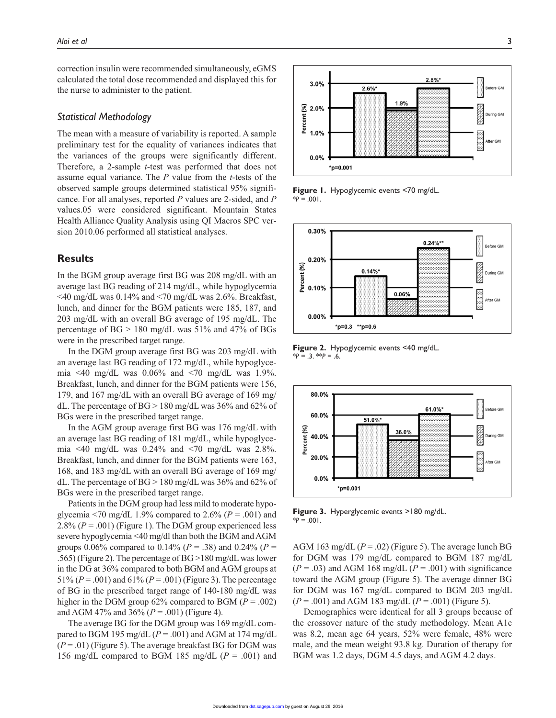correction insulin were recommended simultaneously, eGMS calculated the total dose recommended and displayed this for the nurse to administer to the patient.

#### *Statistical Methodology*

The mean with a measure of variability is reported. A sample preliminary test for the equality of variances indicates that the variances of the groups were significantly different. Therefore, a 2-sample *t*-test was performed that does not assume equal variance. The *P* value from the *t*-tests of the observed sample groups determined statistical 95% significance. For all analyses, reported *P* values are 2-sided, and *P* values.05 were considered significant. Mountain States Health Alliance Quality Analysis using QI Macros SPC version 2010.06 performed all statistical analyses.

## **Results**

In the BGM group average first BG was 208 mg/dL with an average last BG reading of 214 mg/dL, while hypoglycemia  $\leq$ 40 mg/dL was 0.14% and  $\leq$ 70 mg/dL was 2.6%. Breakfast, lunch, and dinner for the BGM patients were 185, 187, and 203 mg/dL with an overall BG average of 195 mg/dL. The percentage of  $BG > 180$  mg/dL was 51% and 47% of BGs were in the prescribed target range.

In the DGM group average first BG was 203 mg/dL with an average last BG reading of 172 mg/dL, while hypoglycemia <40 mg/dL was  $0.06\%$  and <70 mg/dL was 1.9%. Breakfast, lunch, and dinner for the BGM patients were 156, 179, and 167 mg/dL with an overall BG average of 169 mg/ dL. The percentage of  $BG > 180$  mg/dL was 36% and 62% of BGs were in the prescribed target range.

In the AGM group average first BG was 176 mg/dL with an average last BG reading of 181 mg/dL, while hypoglycemia <40 mg/dL was  $0.24\%$  and  $\leq 70$  mg/dL was 2.8%. Breakfast, lunch, and dinner for the BGM patients were 163, 168, and 183 mg/dL with an overall BG average of 169 mg/ dL. The percentage of  $BG > 180$  mg/dL was 36% and 62% of BGs were in the prescribed target range.

Patients in the DGM group had less mild to moderate hypoglycemia <70 mg/dL 1.9% compared to 2.6% ( $P = .001$ ) and 2.8% (*P* = .001) (Figure 1). The DGM group experienced less severe hypoglycemia <40 mg/dl than both the BGM and AGM groups 0.06% compared to 0.14% (*P* = .38) and 0.24% (*P* = .565) (Figure 2). The percentage of BG >180 mg/dL was lower in the DG at 36% compared to both BGM and AGM groups at 51% (*P* = .001) and 61% (*P* = .001) (Figure 3). The percentage of BG in the prescribed target range of 140-180 mg/dL was higher in the DGM group  $62\%$  compared to BGM ( $P = .002$ ) and AGM 47% and 36% (*P* = .001) (Figure 4).

The average BG for the DGM group was 169 mg/dL compared to BGM 195 mg/dL  $(P = .001)$  and AGM at 174 mg/dL  $(P = .01)$  (Figure 5). The average breakfast BG for DGM was 156 mg/dL compared to BGM 185 mg/dL  $(P = .001)$  and



**Figure 1.** Hypoglycemic events <70 mg/dL.  $*P = .001$ .



**Figure 2.** Hypoglycemic events <40 mg/dL. \**P* = .3. \*\**P* = .6.



**Figure 3.** Hyperglycemic events >180 mg/dL.  $*P = .001$ .

AGM 163 mg/dL  $(P = .02)$  (Figure 5). The average lunch BG for DGM was 179 mg/dL compared to BGM 187 mg/dL  $(P = .03)$  and AGM 168 mg/dL  $(P = .001)$  with significance toward the AGM group (Figure 5). The average dinner BG for DGM was 167 mg/dL compared to BGM 203 mg/dL (*P* = .001) and AGM 183 mg/dL (*P* = .001) (Figure 5).

Demographics were identical for all 3 groups because of the crossover nature of the study methodology. Mean A1c was 8.2, mean age 64 years, 52% were female, 48% were male, and the mean weight 93.8 kg. Duration of therapy for BGM was 1.2 days, DGM 4.5 days, and AGM 4.2 days.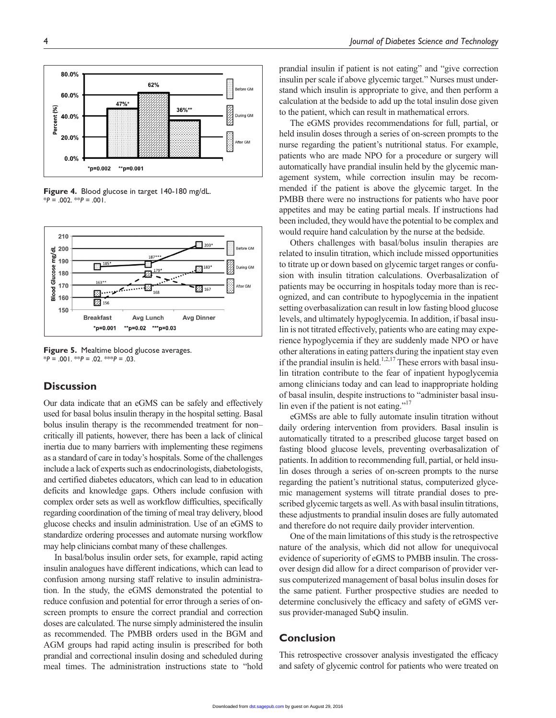

**Figure 4.** Blood glucose in target 140-180 mg/dL. \**P* = .002. \*\**P* = .001.



**Figure 5.** Mealtime blood glucose averages. \**P* = .001. \*\**P* = .02. \*\*\**P* = .03.

## **Discussion**

Our data indicate that an eGMS can be safely and effectively used for basal bolus insulin therapy in the hospital setting. Basal bolus insulin therapy is the recommended treatment for non– critically ill patients, however, there has been a lack of clinical inertia due to many barriers with implementing these regimens as a standard of care in today's hospitals. Some of the challenges include a lack of experts such as endocrinologists, diabetologists, and certified diabetes educators, which can lead to in education deficits and knowledge gaps. Others include confusion with complex order sets as well as workflow difficulties, specifically regarding coordination of the timing of meal tray delivery, blood glucose checks and insulin administration. Use of an eGMS to standardize ordering processes and automate nursing workflow may help clinicians combat many of these challenges.

In basal/bolus insulin order sets, for example, rapid acting insulin analogues have different indications, which can lead to confusion among nursing staff relative to insulin administration. In the study, the eGMS demonstrated the potential to reduce confusion and potential for error through a series of onscreen prompts to ensure the correct prandial and correction doses are calculated. The nurse simply administered the insulin as recommended. The PMBB orders used in the BGM and AGM groups had rapid acting insulin is prescribed for both prandial and correctional insulin dosing and scheduled during meal times. The administration instructions state to "hold

prandial insulin if patient is not eating" and "give correction insulin per scale if above glycemic target." Nurses must understand which insulin is appropriate to give, and then perform a calculation at the bedside to add up the total insulin dose given to the patient, which can result in mathematical errors.

The eGMS provides recommendations for full, partial, or held insulin doses through a series of on-screen prompts to the nurse regarding the patient's nutritional status. For example, patients who are made NPO for a procedure or surgery will automatically have prandial insulin held by the glycemic management system, while correction insulin may be recommended if the patient is above the glycemic target. In the PMBB there were no instructions for patients who have poor appetites and may be eating partial meals. If instructions had been included, they would have the potential to be complex and would require hand calculation by the nurse at the bedside.

Others challenges with basal/bolus insulin therapies are related to insulin titration, which include missed opportunities to titrate up or down based on glycemic target ranges or confusion with insulin titration calculations. Overbasalization of patients may be occurring in hospitals today more than is recognized, and can contribute to hypoglycemia in the inpatient setting overbasalization can result in low fasting blood glucose levels, and ultimately hypoglycemia. In addition, if basal insulin is not titrated effectively, patients who are eating may experience hypoglycemia if they are suddenly made NPO or have other alterations in eating patters during the inpatient stay even if the prandial insulin is held.<sup>1,2,17</sup> These errors with basal insulin titration contribute to the fear of inpatient hypoglycemia among clinicians today and can lead to inappropriate holding of basal insulin, despite instructions to "administer basal insulin even if the patient is not eating."<sup>17</sup>

eGMSs are able to fully automate insulin titration without daily ordering intervention from providers. Basal insulin is automatically titrated to a prescribed glucose target based on fasting blood glucose levels, preventing overbasalization of patients. In addition to recommending full, partial, or held insulin doses through a series of on-screen prompts to the nurse regarding the patient's nutritional status, computerized glycemic management systems will titrate prandial doses to prescribed glycemic targets as well. As with basal insulin titrations, these adjustments to prandial insulin doses are fully automated and therefore do not require daily provider intervention.

One of the main limitations of this study is the retrospective nature of the analysis, which did not allow for unequivocal evidence of superiority of eGMS to PMBB insulin. The crossover design did allow for a direct comparison of provider versus computerized management of basal bolus insulin doses for the same patient. Further prospective studies are needed to determine conclusively the efficacy and safety of eGMS versus provider-managed SubQ insulin.

## **Conclusion**

This retrospective crossover analysis investigated the efficacy and safety of glycemic control for patients who were treated on